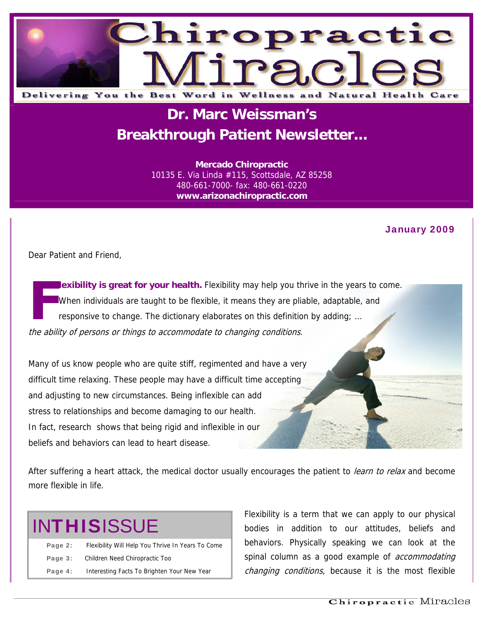

### **Dr. Marc Weissman's Breakthrough Patient Newsletter...**

**Mercado Chiropractic**  10135 E. Via Linda #115, Scottsdale, AZ 85258 480-661-7000- fax: 480-661-0220 **www.arizonachiropractic.com**

#### January 2009

Dear Patient and Friend,

**lexibility is great for your health.** Flexibility may help you thrive in the years to come. When individuals are taught to be flexible, it means they are pliable, adaptable, and responsive to change. The dictionary elaborates on this definition by adding; … the ability of persons or things to accommodate to changing conditions. **F**

Many of us know people who are quite stiff, regimented and have a very difficult time relaxing. These people may have a difficult time accepting and adjusting to new circumstances. Being inflexible can add stress to relationships and become damaging to our health. In fact, research shows that being rigid and inflexible in our beliefs and behaviors can lead to heart disease.

After suffering a heart attack, the medical doctor usually encourages the patient to learn to relax and become more flexible in life.

# **INTHISISSUE**

| Page 2: | Flexibility Will Help You Thrive In Years To Come |
|---------|---------------------------------------------------|
| Page 3: | Children Need Chiropractic Too                    |
| Page 4: | Interesting Facts To Brighten Your New Year       |

Flexibility is a term that we can apply to our physical bodies in addition to our attitudes, beliefs and behaviors. Physically speaking we can look at the spinal column as a good example of *accommodating* changing conditions, because it is the most flexible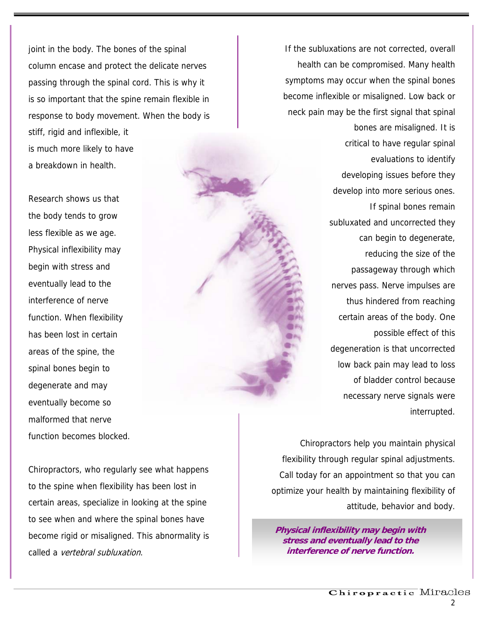joint in the body. The bones of the spinal column encase and protect the delicate nerves passing through the spinal cord. This is why it is so important that the spine remain flexible in response to body movement. When the body is stiff, rigid and inflexible, it is much more likely to have a breakdown in health.

Research shows us that the body tends to grow less flexible as we age. Physical inflexibility may begin with stress and eventually lead to the interference of nerve function. When flexibility has been lost in certain areas of the spine, the spinal bones begin to degenerate and may eventually become so malformed that nerve function becomes blocked.

If the subluxations are not corrected, overall health can be compromised. Many health symptoms may occur when the spinal bones become inflexible or misaligned. Low back or neck pain may be the first signal that spinal

> bones are misaligned. It is critical to have regular spinal evaluations to identify developing issues before they develop into more serious ones. If spinal bones remain subluxated and uncorrected they can begin to degenerate, reducing the size of the passageway through which nerves pass. Nerve impulses are thus hindered from reaching certain areas of the body. One possible effect of this degeneration is that uncorrected low back pain may lead to loss of bladder control because necessary nerve signals were interrupted.

Chiropractors, who regularly see what happens to the spine when flexibility has been lost in certain areas, specialize in looking at the spine to see when and where the spinal bones have become rigid or misaligned. This abnormality is called a vertebral subluxation.

Chiropractors help you maintain physical flexibility through regular spinal adjustments. Call today for an appointment so that you can optimize your health by maintaining flexibility of attitude, behavior and body.

**Physical inflexibility may begin with stress and eventually lead to the interference of nerve function.**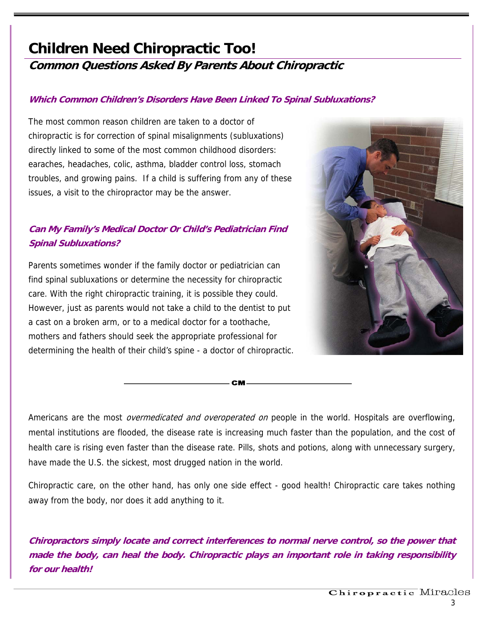## **Children Need Chiropractic Too!**

### **Common Questions Asked By Parents About Chiropractic**

#### **Which Common Children's Disorders Have Been Linked To Spinal Subluxations?**

The most common reason children are taken to a doctor of chiropractic is for correction of spinal misalignments (subluxations) directly linked to some of the most common childhood disorders: earaches, headaches, colic, asthma, bladder control loss, stomach troubles, and growing pains. If a child is suffering from any of these issues, a visit to the chiropractor may be the answer.

### **Can My Family's Medical Doctor Or Child's Pediatrician Find Spinal Subluxations?**

Parents sometimes wonder if the family doctor or pediatrician can find spinal subluxations or determine the necessity for chiropractic care. With the right chiropractic training, it is possible they could. However, just as parents would not take a child to the dentist to put a cast on a broken arm, or to a medical doctor for a toothache, mothers and fathers should seek the appropriate professional for determining the health of their child's spine - a doctor of chiropractic.



Americans are the most *overmedicated and overoperated on* people in the world. Hospitals are overflowing, mental institutions are flooded, the disease rate is increasing much faster than the population, and the cost of health care is rising even faster than the disease rate. Pills, shots and potions, along with unnecessary surgery, have made the U.S. the sickest, most drugged nation in the world.

**CM** 

Chiropractic care, on the other hand, has only one side effect - good health! Chiropractic care takes nothing away from the body, nor does it add anything to it.

**Chiropractors simply locate and correct interferences to normal nerve control, so the power that made the body, can heal the body. Chiropractic plays an important role in taking responsibility for our health!**